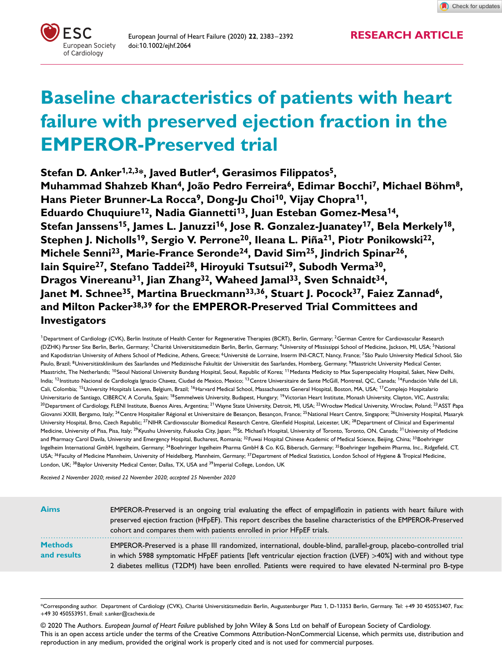

European Journal of Heart Failure (2020) **<sup>22</sup>**, 2383–2392 **RESEARCH ARTICLE** doi:10.1002/ejhf.2064

# **Baseline characteristics of patients with heart failure with preserved ejection fraction in the EMPEROR-Preserved trial**

**Stefan D. Anker<sup>1</sup>,2,3\*, Javed Butler4, Gerasimos Filippatos5, Muhammad Shahzeb Khan4, João Pedro Ferreira6, Edimar Bocchi7, Michael Böhm8, Hans Pieter Brunner-La Rocca9, Dong-Ju Choi<sup>1</sup>0, Vijay Chopra<sup>11</sup>, Eduardo Chuquiure<sup>1</sup>2, Nadia Giannetti<sup>1</sup>3, Juan Esteban Gomez-Mesa<sup>1</sup>4, Stefan Janssens<sup>1</sup>5, James L. Januzzi<sup>1</sup>6, Jose R. Gonzalez-Juanatey<sup>1</sup>7, Bela Merkely<sup>1</sup>8, Stephen J. Nicholls<sup>1</sup>9, Sergio V. Perrone20, Ileana L. Piña2<sup>1</sup>, Piotr Ponikowski22, Michele Senni23, Marie-France Seronde24, David Sim25, Jindrich Spinar26, Iain Squire27, Stefano Taddei28, Hiroyuki Tsutsui29, Subodh Verma30, Dragos Vinereanu3<sup>1</sup>, Jian Zhang32, Waheed Jamal33, Sven Schnaidt34,** Janet M. Schnee<sup>35</sup>, Martina Brueckmann<sup>33,36</sup>, Stuart J. Pocock<sup>37</sup>, Faiez Zannad<sup>6</sup>, **and Milton Packer38,39 for the EMPEROR-Preserved Trial Committees and Investigators**

<sup>1</sup>Department of Cardiology (CVK), Berlin Institute of Health Center for Regenerative Therapies (BCRT), Berlin, Germany; <sup>2</sup>German Centre for Cardiovascular Research (DZHK) Partner Site Berlin, Berlin, Germany; <sup>3</sup>Charité Universitätsmedizin Berlin, Berlin, Germany; <sup>4</sup>University of Mississippi School of Medicine, Jackson, MI, USA; <sup>5</sup>National and Kapodistrian University of Athens School of Medicine, Athens, Greece; <sup>6</sup>Université de Lorraine, Inserm INI-CRCT, Nancy, France; <sup>7</sup>São Paulo University Medical School, São Paulo, Brazil; <sup>8</sup>Universitätsklinikum des Saarlandes und Medizinische Fakultät der Universität des Saarlandes, Homberg, Germany; <sup>9</sup>Maastricht University Medical Center, Maastricht, The Netherlands; <sup>1</sup>0Seoul National University Bundang Hospital, Seoul, Republic of Korea; <sup>11</sup>Medanta Medicity to Max Superspeciality Hospital, Saket, New Delhi, India; <sup>12</sup>Instituto Nacional de Cardiologia Ignacio Chavez, Ciudad de Mexico, Mexico; <sup>13</sup>Centre Universitaire de Sante McGill, Montreal, QC, Canada; <sup>14</sup>Fundación Valle del Lili, Cali, Colombia; <sup>15</sup>University Hospitals Leuven, Belgium, Brazil; <sup>16</sup>Harvard Medical School, Massachusetts General Hospital, Boston, MA, USA; <sup>17</sup>Complejo Hospitalario Universitario de Santiago, CIBERCV, A Coruña, Spain; <sup>18</sup>Semmelweis University, Budapest, Hungary; <sup>19</sup>Victorian Heart Institute, Monash University, Clayton, VIC, Australia; <sup>20</sup> Department of Cardiology, FLENI Institute, Buenos Aires, Argentina; <sup>21</sup> Wayne State University, Detroit, MI, USA; <sup>22</sup> Wrocław Medical University, Wroclaw, Poland; <sup>23</sup> ASST Papa Giovanni XXIII, Bergamo, Italy; <sup>24</sup>Centre Hospitalier Régional et Universitaire de Besançon, Besançon, France; <sup>25</sup> National Heart Centre, Singapore; <sup>26</sup> University Hospital, Masaryk University Hospital, Brno, Czech Republic; <sup>27</sup>NIHR Cardiovascular Biomedical Research Centre, Glenfield Hospital, Leicester, UK; <sup>28</sup>Department of Clinical and Experimental Medicine, University of Pisa, Pisa, Italy; <sup>29</sup>Kyushu University, Fukuoka City, Japan; <sup>30</sup>St. Michael's Hospital, University of Toronto, Toronto, ON, Canada; <sup>31</sup>University of Medicine and Pharmacy Carol Davila, University and Emergency Hospital, Bucharest, Romania; <sup>32</sup>Fuwai Hospital Chinese Academic of Medical Science, Beijing, China; <sup>33</sup>Boehringer Ingelheim International GmbH, Ingelheim, Germany; <sup>34</sup>Boehringer Ingelheim Pharma GmbH & Co. KG, Biberach, Germany; <sup>35</sup>Boehringer Ingelheim Pharma, Inc., Ridgefield, CT, USA; <sup>36</sup>Faculty of Medicine Mannheim, University of Heidelberg, Mannheim, Germany; <sup>37</sup>Department of Medical Statistics, London School of Hygiene & Tropical Medicine, London, UK; <sup>38</sup>Baylor University Medical Center, Dallas, TX, USA and <sup>39</sup>Imperial College, London, UK

*Received 2 November 2020; revised 22 November 2020; accepted 25 November 2020*

| <b>Aims</b>                   | EMPEROR-Preserved is an ongoing trial evaluating the effect of empagliflozin in patients with heart failure with<br>preserved ejection fraction (HFpEF). This report describes the baseline characteristics of the EMPEROR-Preserved<br>cohort and compares them with patients enrolled in prior HFpEF trials.                                        |
|-------------------------------|-------------------------------------------------------------------------------------------------------------------------------------------------------------------------------------------------------------------------------------------------------------------------------------------------------------------------------------------------------|
| <b>Methods</b><br>and results | EMPEROR-Preserved is a phase III randomized, international, double-blind, parallel-group, placebo-controlled trial<br>in which 5988 symptomatic HFpEF patients [left ventricular ejection fraction (LVEF) >40%] with and without type<br>2 diabetes mellitus (T2DM) have been enrolled. Patients were required to have elevated N-terminal pro B-type |

\*Corresponding author. Department of Cardiology (CVK), Charité Universitätsmedizin Berlin, Augustenburger Platz 1, D-13353 Berlin, Germany. Tel: +49 30 450553407, Fax: +49 30 450553951, Email: s.anker@cachexia.de

© 2020 The Authors. *European Journal of Heart Failure* published by John Wiley & Sons Ltd on behalf of European Society of Cardiology. This is an open access article under the terms of the Creative Commons Attribution-NonCommercial License, which permits use, distribution and reproduction in any medium, provided the original work is properly cited and is not used for commercial purposes.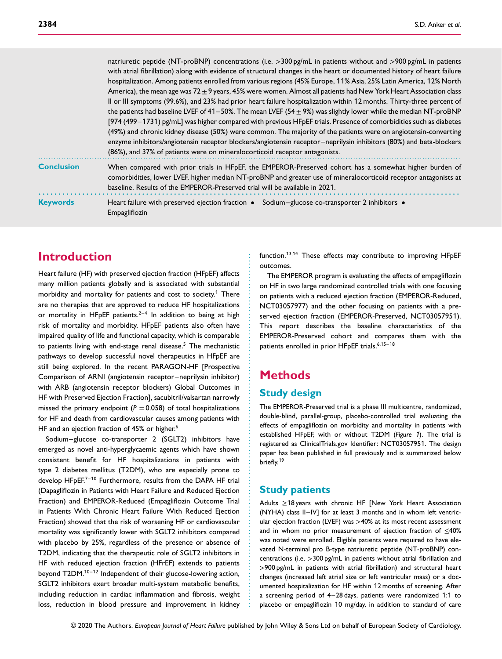|                   | natriuretic peptide (NT-proBNP) concentrations (i.e. $>300$ pg/mL in patients without and $>900$ pg/mL in patients<br>with atrial fibrillation) along with evidence of structural changes in the heart or documented history of heart failure<br>hospitalization. Among patients enrolled from various regions (45% Europe, 11% Asia, 25% Latin America, 12% North<br>America), the mean age was $72 \pm 9$ years, 45% were women. Almost all patients had New York Heart Association class<br>Il or III symptoms (99.6%), and 23% had prior heart failure hospitalization within 12 months. Thirty-three percent of<br>the patients had baseline LVEF of 41–50%. The mean LVEF (54 $\pm$ 9%) was slightly lower while the median NT-proBNP<br>[974 (499–1731) pg/mL] was higher compared with previous HFpEF trials. Presence of comorbidities such as diabetes<br>(49%) and chronic kidney disease (50%) were common. The majority of the patients were on angiotensin-converting<br>enzyme inhibitors/angiotensin receptor blockers/angiotensin receptor-neprilysin inhibitors (80%) and beta-blockers<br>(86%), and 37% of patients were on mineralocorticoid receptor antagonists. |
|-------------------|-----------------------------------------------------------------------------------------------------------------------------------------------------------------------------------------------------------------------------------------------------------------------------------------------------------------------------------------------------------------------------------------------------------------------------------------------------------------------------------------------------------------------------------------------------------------------------------------------------------------------------------------------------------------------------------------------------------------------------------------------------------------------------------------------------------------------------------------------------------------------------------------------------------------------------------------------------------------------------------------------------------------------------------------------------------------------------------------------------------------------------------------------------------------------------------------|
| <b>Conclusion</b> | When compared with prior trials in HFpEF, the EMPEROR-Preserved cohort has a somewhat higher burden of<br>comorbidities, lower LVEF, higher median NT-proBNP and greater use of mineralocorticoid receptor antagonists at<br>baseline. Results of the EMPEROR-Preserved trial will be available in 2021.                                                                                                                                                                                                                                                                                                                                                                                                                                                                                                                                                                                                                                                                                                                                                                                                                                                                                |
| <b>Keywords</b>   | Heart failure with preserved ejection fraction • Sodium-glucose co-transporter 2 inhibitors •<br>Empagliflozin                                                                                                                                                                                                                                                                                                                                                                                                                                                                                                                                                                                                                                                                                                                                                                                                                                                                                                                                                                                                                                                                          |

## **Introduction**

Heart failure (HF) with preserved ejection fraction (HFpEF) affects many million patients globally and is associated with substantial morbidity and mortality for patients and cost to society.<sup>1</sup> There are no therapies that are approved to reduce HF hospitalizations or mortality in HFpEF patients. $2-4$  In addition to being at high risk of mortality and morbidity, HFpEF patients also often have impaired quality of life and functional capacity, which is comparable to patients living with end-stage renal disease.<sup>5</sup> The mechanistic pathways to develop successful novel therapeutics in HFpEF are still being explored. In the recent PARAGON-HF [Prospective Comparison of ARNI (angiotensin receptor–neprilysin inhibitor) with ARB (angiotensin receptor blockers) Global Outcomes in HF with Preserved Ejection Fraction], sacubitril/valsartan narrowly missed the primary endpoint ( $P = 0.058$ ) of total hospitalizations for HF and death from cardiovascular causes among patients with HF and an ejection fraction of 45% or higher.<sup>6</sup>

Sodium–glucose co-transporter 2 (SGLT2) inhibitors have emerged as novel anti-hyperglycaemic agents which have shown consistent benefit for HF hospitalizations in patients with type 2 diabetes mellitus (T2DM), who are especially prone to develop HFpEF.<sup>7-10</sup> Furthermore, results from the DAPA HF trial (Dapagliflozin in Patients with Heart Failure and Reduced Ejection Fraction) and EMPEROR-Reduced (Empagliflozin Outcome Trial in Patients With Chronic Heart Failure With Reduced Ejection Fraction) showed that the risk of worsening HF or cardiovascular mortality was significantly lower with SGLT2 inhibitors compared with placebo by 25%, regardless of the presence or absence of T2DM, indicating that the therapeutic role of SGLT2 inhibitors in HF with reduced ejection fraction (HFrEF) extends to patients beyond T2DM.<sup>10-12</sup> Independent of their glucose-lowering action, SGLT2 inhibitors exert broader multi-system metabolic benefits, including reduction in cardiac inflammation and fibrosis, weight loss, reduction in blood pressure and improvement in kidney function.<sup>1</sup>3,1<sup>4</sup> These effects may contribute to improving HFpEF outcomes.

The EMPEROR program is evaluating the effects of empagliflozin on HF in two large randomized controlled trials with one focusing on patients with a reduced ejection fraction (EMPEROR-Reduced, NCT03057977) and the other focusing on patients with a preserved ejection fraction (EMPEROR-Preserved, NCT03057951). This report describes the baseline characteristics of the EMPEROR-Preserved cohort and compares them with the patients enrolled in prior HFpEF trials.<sup>6,15-18</sup>

# **Methods**

........................................................ ...................................................

#### **Study design**

The EMPEROR-Preserved trial is a phase III multicentre, randomized, double-blind, parallel-group, placebo-controlled trial evaluating the effects of empagliflozin on morbidity and mortality in patients with established HFpEF, with or without T2DM (*Figure* 1). The trial is registered as [ClinicalTrials.gov](http://clinicaltrials.gov) Identifier: NCT03057951. The design paper has been published in full previously and is summarized below briefly.<sup>19</sup>

#### **Study patients**

Adults ≥18 years with chronic HF [New York Heart Association (NYHA) class II–IV] for at least 3 months and in whom left ventricular ejection fraction (LVEF) was *>*40% at its most recent assessment and in whom no prior measurement of ejection fraction of ≤40% was noted were enrolled. Eligible patients were required to have elevated N-terminal pro B-type natriuretic peptide (NT-proBNP) concentrations (i.e. *>*300 pg/mL in patients without atrial fibrillation and *>*900 pg/mL in patients with atrial fibrillation) and structural heart changes (increased left atrial size or left ventricular mass) or a documented hospitalization for HF within 12 months of screening. After a screening period of 4–28 days, patients were randomized 1:1 to placebo or empagliflozin 10 mg/day, in addition to standard of care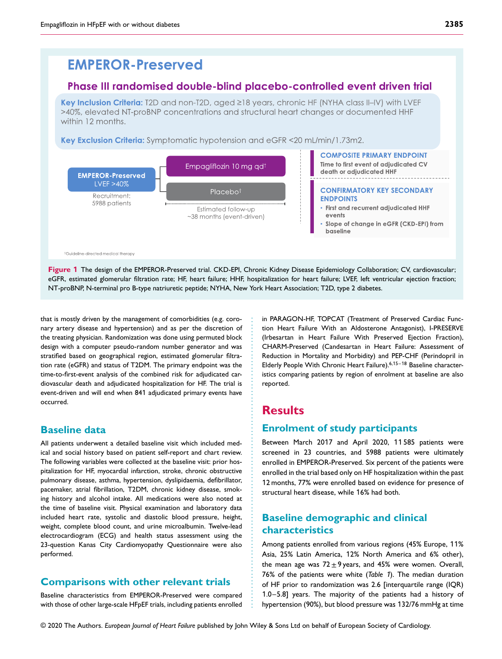# **EMPEROR-Preserved**

#### Phase III randomised double-blind placebo-controlled event driven trial

Key Inclusion Criteria: T2D and non-T2D, aged ≥18 years, chronic HF (NYHA class II-IV) with LVEF >40%, elevated NT-proBNP concentrations and structural heart changes or documented HHF within 12 months.

Key Exclusion Criteria: Symptomatic hypotension and eGFR <20 mL/min/1.73m2.



**Figure 1** The design of the EMPEROR-Preserved trial. CKD-EPI, Chronic Kidney Disease Epidemiology Collaboration; CV, cardiovascular; eGFR, estimated glomerular filtration rate; HF, heart failure; HHF, hospitalization for heart failure; LVEF, left ventricular ejection fraction; NT-proBNP, N-terminal pro B-type natriuretic peptide; NYHA, New York Heart Association; T2D, type 2 diabetes.

........................................... .............................................

that is mostly driven by the management of comorbidities (e.g. coronary artery disease and hypertension) and as per the discretion of the treating physician. Randomization was done using permuted block design with a computer pseudo-random number generator and was stratified based on geographical region, estimated glomerular filtration rate (eGFR) and status of T2DM. The primary endpoint was the time-to-first-event analysis of the combined risk for adjudicated cardiovascular death and adjudicated hospitalization for HF. The trial is event-driven and will end when 841 adjudicated primary events have occurred.

#### **Baseline data**

All patients underwent a detailed baseline visit which included medical and social history based on patient self-report and chart review. The following variables were collected at the baseline visit: prior hospitalization for HF, myocardial infarction, stroke, chronic obstructive pulmonary disease, asthma, hypertension, dyslipidaemia, defibrillator, pacemaker, atrial fibrillation, T2DM, chronic kidney disease, smoking history and alcohol intake. All medications were also noted at the time of baseline visit. Physical examination and laboratory data included heart rate, systolic and diastolic blood pressure, height, weight, complete blood count, and urine microalbumin. Twelve-lead electrocardiogram (ECG) and health status assessment using the 23-question Kanas City Cardiomyopathy Questionnaire were also performed.

### **Comparisons with other relevant trials**

Baseline characteristics from EMPEROR-Preserved were compared with those of other large-scale HFpEF trials, including patients enrolled in PARAGON-HF, TOPCAT (Treatment of Preserved Cardiac Function Heart Failure With an Aldosterone Antagonist), I-PRESERVE (Irbesartan in Heart Failure With Preserved Ejection Fraction), CHARM-Preserved (Candesartan in Heart Failure: Assessment of Reduction in Mortality and Morbidity) and PEP-CHF (Perindopril in Elderly People With Chronic Heart Failure).<sup>6,15-18</sup> Baseline characteristics comparing patients by region of enrolment at baseline are also reported.

## **Results**

#### **Enrolment of study participants**

Between March 2017 and April 2020, 11 585 patients were screened in 23 countries, and 5988 patients were ultimately enrolled in EMPEROR-Preserved. Six percent of the patients were enrolled in the trial based only on HF hospitalization within the past 12 months, 77% were enrolled based on evidence for presence of structural heart disease, while 16% had both.

### **Baseline demographic and clinical characteristics**

Among patients enrolled from various regions (45% Europe, 11% Asia, 25% Latin America, 12% North America and 6% other), the mean age was  $72 \pm 9$  years, and 45% were women. Overall, 76% of the patients were white (*Table* 1). The median duration of HF prior to randomization was 2.6 [interquartile range (IQR) 1.0–5.8] years. The majority of the patients had a history of hypertension (90%), but blood pressure was 132/76 mmHg at time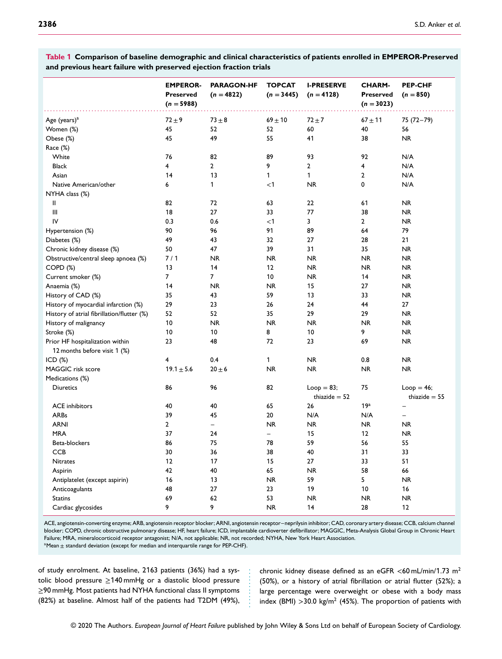**EMPEROR-Preserved (***n* **= 5988) PARAGON-HF**  $(n = 4822)$ **TOPCAT (***n* **= 3445) I-PRESERVE (***n* **= 4128) CHARM-Preserved (***n* **= 3023) PEP-CHF**  $(n = 850)$ ................................................................ ............................................................... ............ Age (years)<sup>a</sup> 72±9 73±8 69±10 72±7 67±11 75 (72–79) Women (%) 45 52 52 60 40 56 Obese (%) 45 49 55 41 38 NR Race (%) White 76 82 89 93 92 N/A Black 4 2 9 2 4 N/A Asian 14 13 1 1 2 N/A Native American/other 6 1 *<*1 NR 0 N/A NYHA class (%) II 82 72 63 22 61 NR III 18 27 33 77 38 NR IV 0.3 0.6 *<*1 3 2 NR Hypertension (%) 89 89 84 96 89 84 979 89 84 979 89 84 979 91 89 89 84 979 91 89 84 979 889 84 979 91 889 80 1 Diabetes (%) 49 43 32 27 28 21 Chronic kidney disease (%) 50 47 39 31 35 NR Obstructive/central sleep apnoea (%)  $7/1$  NR NR NR NR NR NR COPD (%) 13 14 12 NR NR NR Current smoker (%) 7 7 10 NR 14 NR Anaemia (%) 14 NR NR 15 27 NR History of CAD (%) 35 43 59 13 33 NR History of myocardial infarction (%) 29 23 26 24 44 27 History of atrial fibrillation/flutter (%) 52 52 35 29 29 NR History of malignancy 10 NR NR NR NR NR Stroke (%) 10 10 8 10 9 NR Prior HF hospitalization within 12 months before visit 1 (%) 23 48 72 23 69 NR ICD (%) 4 0.4 1 NR 0.8 NR MAGGIC risk score  $19.1 \pm 5.6$   $20 \pm 6$  NR NR NR NR NR Medications (%) Diuretics 86 96 82 Loop = 83; thiazide  $= 52$ 75  $Loop = 46;$ thiazide  $= 55$ ACE inhibitors 26 19<sup>a</sup> – 20 30 40 40 5 26 26 19<sup>a</sup> – ARBs 39 45 20 N/A N/A – ARNI 2 – NR NR NR NR MRA 37 24 – 15 12 NR Beta-blockers 86 75 78 59 56 55 CCB 30 36 38 40 31 33 Nitrates 12 17 15 27 33 51 Aspirin 42 40 65 NR 58 66 Antiplatelet (except aspirin) 16 13 NR 59 5 NR Anticoagulants 48 27 23 19 10 16 Statins 69 62 53 NR NR NR Cardiac glycosides 9 9 9 NR 14 28 12

**Table 1 Comparison of baseline demographic and clinical characteristics of patients enrolled in EMPEROR-Preserved and previous heart failure with preserved ejection fraction trials**

ACE, angiotensin-converting enzyme; ARB, angiotensin receptor blocker; ARNI, angiotensin receptor–neprilysin inhibitor; CAD, coronary artery disease; CCB, calcium channel blocker; COPD, chronic obstructive pulmonary disease; HF, heart failure; ICD, implantable cardioverter defibrillator; MAGGIC, Meta-Analysis Global Group in Chronic Heart Failure; MRA, mineralocorticoid receptor antagonist; N/A, not applicable; NR, not recorded; NYHA, New York Heart Association.  $a$ Mean  $\pm$  standard deviation (except for median and interquartile range for PEP-CHF).

............

of study enrolment. At baseline, 2163 patients (36%) had a systolic blood pressure  $\geq$ 140 mmHg or a diastolic blood pressure ≥90 mmHg. Most patients had NYHA functional class II symptoms (82%) at baseline. Almost half of the patients had T2DM (49%),

chronic kidney disease defined as an eGFR *<*60 mL/min/1.73 m<sup>2</sup> (50%), or a history of atrial fibrillation or atrial flutter (52%); a large percentage were overweight or obese with a body mass index (BMI) *>*30.0 kg/m<sup>2</sup> (45%). The proportion of patients with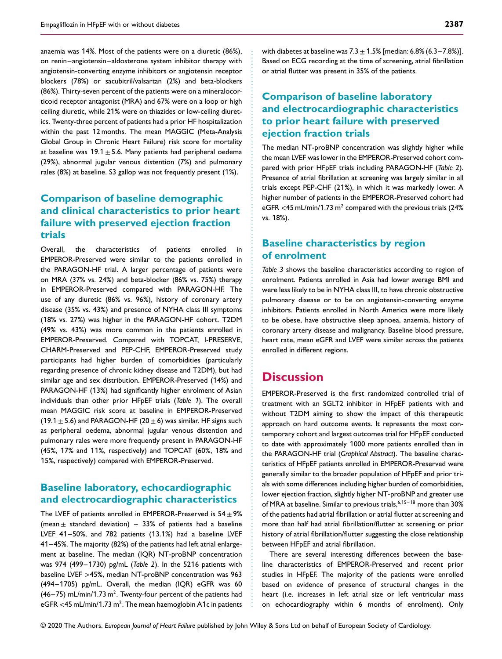anaemia was 14%. Most of the patients were on a diuretic (86%), on renin–angiotensin–aldosterone system inhibitor therapy with angiotensin-converting enzyme inhibitors or angiotensin receptor blockers (78%) or sacubitril/valsartan (2%) and beta-blockers (86%). Thirty-seven percent of the patients were on a mineralocorticoid receptor antagonist (MRA) and 67% were on a loop or high ceiling diuretic, while 21% were on thiazides or low-ceiling diuretics. Twenty-three percent of patients had a prior HF hospitalization within the past 12 months. The mean MAGGIC (Meta-Analysis Global Group in Chronic Heart Failure) risk score for mortality at baseline was  $19.1 \pm 5.6$ . Many patients had peripheral oedema (29%), abnormal jugular venous distention (7%) and pulmonary rales (8%) at baseline. S3 gallop was not frequently present (1%).

#### **Comparison of baseline demographic and clinical characteristics to prior heart failure with preserved ejection fraction trials**

Overall, the characteristics of patients enrolled in EMPEROR-Preserved were similar to the patients enrolled in the PARAGON-HF trial. A larger percentage of patients were on MRA (37% vs. 24%) and beta-blocker (86% vs. 75%) therapy in EMPEROR-Preserved compared with PARAGON-HF. The use of any diuretic (86% vs. 96%), history of coronary artery disease (35% vs. 43%) and presence of NYHA class III symptoms (18% vs. 27%) was higher in the PARAGON-HF cohort. T2DM (49% vs. 43%) was more common in the patients enrolled in EMPEROR-Preserved. Compared with TOPCAT, I-PRESERVE, CHARM-Preserved and PEP-CHF, EMPEROR-Preserved study participants had higher burden of comorbidities (particularly regarding presence of chronic kidney disease and T2DM), but had similar age and sex distribution. EMPEROR-Preserved (14%) and PARAGON-HF (13%) had significantly higher enrolment of Asian individuals than other prior HFpEF trials (*Table* 1). The overall mean MAGGIC risk score at baseline in EMPEROR-Preserved (19.1  $\pm$  5.6) and PARAGON-HF (20  $\pm$  6) was similar. HF signs such as peripheral oedema, abnormal jugular venous distention and pulmonary rales were more frequently present in PARAGON-HF (45%, 17% and 11%, respectively) and TOPCAT (60%, 18% and 15%, respectively) compared with EMPEROR-Preserved.

#### **Baseline laboratory, echocardiographic and electrocardiographic characteristics**

The LVEF of patients enrolled in EMPEROR-Preserved is  $54 \pm 9\%$ (mean  $\pm$  standard deviation) – 33% of patients had a baseline LVEF 41–50%, and 782 patients (13.1%) had a baseline LVEF 41–45%. The majority (82%) of the patients had left atrial enlargement at baseline. The median (IQR) NT-proBNP concentration was 974 (499–1730) pg/mL (*Table 2*). In the 5216 patients with baseline LVEF *>*45%, median NT-proBNP concentration was 963 (494–1705) pg/mL. Overall, the median (IQR) eGFR was 60  $(46-75)$  mL/min/1.73 m<sup>2</sup>. Twenty-four percent of the patients had eGFR *<*45 mL/min/1.73 m2. The mean haemoglobin A1c in patients with diabetes at baseline was  $7.3 \pm 1.5\%$  [median: 6.8% (6.3–7.8%)]. Based on ECG recording at the time of screening, atrial fibrillation or atrial flutter was present in 35% of the patients.

#### **Comparison of baseline laboratory and electrocardiographic characteristics to prior heart failure with preserved ejection fraction trials**

The median NT-proBNP concentration was slightly higher while the mean LVEF was lower in the EMPEROR-Preserved cohort compared with prior HFpEF trials including PARAGON-HF (*Table 2*). Presence of atrial fibrillation at screening was largely similar in all trials except PEP-CHF (21%), in which it was markedly lower. A higher number of patients in the EMPEROR-Preserved cohort had eGFR *<*45 mL/min/1.73 m2 compared with the previous trials (24% vs. 18%).

#### **Baseline characteristics by region of enrolment**

*Table 3* shows the baseline characteristics according to region of enrolment. Patients enrolled in Asia had lower average BMI and were less likely to be in NYHA class III, to have chronic obstructive pulmonary disease or to be on angiotensin-converting enzyme inhibitors. Patients enrolled in North America were more likely to be obese, have obstructive sleep apnoea, anaemia, history of coronary artery disease and malignancy. Baseline blood pressure, heart rate, mean eGFR and LVEF were similar across the patients enrolled in different regions.

## **Discussion**

................................................................ ............................................................... .........................................

EMPEROR-Preserved is the first randomized controlled trial of treatment with an SGLT2 inhibitor in HFpEF patients with and without T2DM aiming to show the impact of this therapeutic approach on hard outcome events. It represents the most contemporary cohort and largest outcomes trial for HFpEF conducted to date with approximately 1000 more patients enrolled than in the PARAGON-HF trial (*Graphical Abstract*). The baseline characteristics of HFpEF patients enrolled in EMPEROR-Preserved were generally similar to the broader population of HFpEF and prior trials with some differences including higher burden of comorbidities, lower ejection fraction, slightly higher NT-proBNP and greater use of MRA at baseline. Similar to previous trials,  $6,15-18$  more than 30% of the patients had atrial fibrillation or atrial flutter at screening and more than half had atrial fibrillation/flutter at screening or prior history of atrial fibrillation/flutter suggesting the close relationship between HFpEF and atrial fibrillation.

There are several interesting differences between the baseline characteristics of EMPEROR-Preserved and recent prior studies in HFpEF. The majority of the patients were enrolled based on evidence of presence of structural changes in the heart (i.e. increases in left atrial size or left ventricular mass on echocardiography within 6 months of enrolment). Only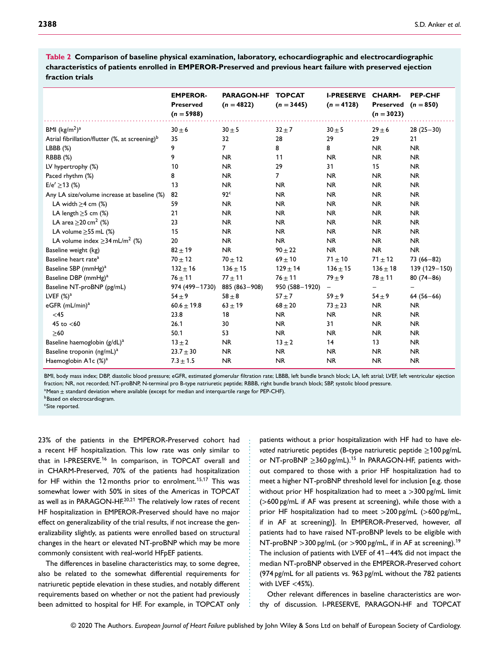|                                                            | <b>EMPEROR-</b><br><b>Preserved</b><br>$(n = 5988)$ | <b>PARAGON-HF</b><br>$(n = 4822)$ | <b>TOPCAT</b><br>$(n = 3445)$ | <b>I-PRESERVE</b><br>$(n = 4128)$ | <b>CHARM-</b><br><b>Preserved</b><br>$(n = 3023)$ | <b>PEP-CHF</b><br>$(n = 850)$ |
|------------------------------------------------------------|-----------------------------------------------------|-----------------------------------|-------------------------------|-----------------------------------|---------------------------------------------------|-------------------------------|
| BMI $(kg/m2)a$                                             | $30 \pm 6$                                          | $30 \pm 5$                        | $32 \pm 7$                    | $30 \pm 5$                        | $29 \pm 6$                                        | $28(25-30)$                   |
| Atrial fibrillation/flutter (%, at screening) <sup>b</sup> | 35                                                  | 32                                | 28                            | 29                                | 29                                                | 21                            |
| LBBB (%)                                                   | 9                                                   | $\overline{7}$                    | 8                             | 8                                 | <b>NR</b>                                         | <b>NR</b>                     |
| RBBB (%)                                                   | 9                                                   | <b>NR</b>                         | 11                            | <b>NR</b>                         | <b>NR</b>                                         | <b>NR</b>                     |
| LV hypertrophy (%)                                         | 10                                                  | <b>NR</b>                         | 29                            | 31                                | 15                                                | <b>NR</b>                     |
| Paced rhythm (%)                                           | 8                                                   | <b>NR</b>                         | $\overline{7}$                | <b>NR</b>                         | <b>NR</b>                                         | <b>NR</b>                     |
| $E/e' \ge 13$ (%)                                          | 13                                                  | <b>NR</b>                         | <b>NR</b>                     | <b>NR</b>                         | <b>NR</b>                                         | <b>NR</b>                     |
| Any LA size/volume increase at baseline (%)                | 82                                                  | 92 <sup>c</sup>                   | <b>NR</b>                     | <b>NR</b>                         | <b>NR</b>                                         | <b>NR</b>                     |
| LA width $\geq$ 4 cm (%)                                   | 59                                                  | <b>NR</b>                         | <b>NR</b>                     | <b>NR</b>                         | <b>NR</b>                                         | <b>NR</b>                     |
| LA length $\geq$ 5 cm (%)                                  | 21                                                  | <b>NR</b>                         | <b>NR</b>                     | <b>NR</b>                         | <b>NR</b>                                         | <b>NR</b>                     |
| LA area $\geq$ 20 cm <sup>2</sup> (%)                      | 23                                                  | <b>NR</b>                         | <b>NR</b>                     | <b>NR</b>                         | <b>NR</b>                                         | <b>NR</b>                     |
| LA volume $\geq$ 55 mL (%)                                 | 15                                                  | <b>NR</b>                         | <b>NR</b>                     | <b>NR</b>                         | <b>NR</b>                                         | <b>NR</b>                     |
| LA volume index $\geq$ 34 mL/m <sup>2</sup> (%)            | 20                                                  | <b>NR</b>                         | <b>NR</b>                     | <b>NR</b>                         | <b>NR</b>                                         | <b>NR</b>                     |
| Baseline weight (kg)                                       | $82 + 19$                                           | <b>NR</b>                         | $90 \pm 22$                   | <b>NR</b>                         | <b>NR</b>                                         | <b>NR</b>                     |
| Baseline heart rate <sup>a</sup>                           | $70 + 12$                                           | $70 + 12$                         | $69 \pm 10$                   | $71 \pm 10$                       | $71 + 12$                                         | $73(66 - 82)$                 |
| Baseline SBP (mmHg) <sup>a</sup>                           | $132 \pm 16$                                        | $136 + 15$                        | $129 \pm 14$                  | $136 \pm 15$                      | $136 \pm 18$                                      | 139 (129 - 150)               |
| Baseline DBP (mmHg) <sup>a</sup>                           | $76 + 11$                                           | $77 + 11$                         | $76 + 11$                     | $79 + 9$                          | $78 + 11$                                         | $80(74 - 86)$                 |
| Baseline NT-proBNP (pg/mL)                                 | 974 (499-1730)                                      | 885 (863-908)                     | 950 (588-1920)                | -                                 | -                                                 |                               |
| LVEF $(\%)^a$                                              | $54 \pm 9$                                          | $58 \pm 8$                        | $57 \pm 7$                    | $59 \pm 9$                        | $54 \pm 9$                                        | $64(56-66)$                   |
| eGFR (mL/min) <sup>a</sup>                                 | $60.6 \pm 19.8$                                     | $63 + 19$                         | $68 + 20$                     | $73 + 23$                         | <b>NR</b>                                         | <b>NR</b>                     |
| <45                                                        | 23.8                                                | 18                                | <b>NR</b>                     | <b>NR</b>                         | <b>NR</b>                                         | <b>NR</b>                     |
| 45 to $<$ 60                                               | 26.1                                                | 30                                | <b>NR</b>                     | 31                                | <b>NR</b>                                         | <b>NR</b>                     |
| $\geq 60$                                                  | 50.1                                                | 53                                | <b>NR</b>                     | <b>NR</b>                         | <b>NR</b>                                         | <b>NR</b>                     |
| Baseline haemoglobin (g/dL) <sup>a</sup>                   | $13 \pm 2$                                          | NR.                               | $13 \pm 2$                    | 14                                | 13                                                | <b>NR</b>                     |
| Baseline troponin (ng/mL) <sup>a</sup>                     | $23.7 \pm 30$                                       | <b>NR</b>                         | <b>NR</b>                     | <b>NR</b>                         | <b>NR</b>                                         | <b>NR</b>                     |
| Haemoglobin A1c (%) <sup>a</sup>                           | $7.3 \pm 1.5$                                       | <b>NR</b>                         | <b>NR</b>                     | <b>NR</b>                         | <b>NR</b>                                         | <b>NR</b>                     |
|                                                            |                                                     |                                   |                               |                                   |                                                   |                               |

**Table 2 Comparison of baseline physical examination, laboratory, echocardiographic and electrocardiographic characteristics of patients enrolled in EMPEROR-Preserved and previous heart failure with preserved ejection fraction trials**

BMI, body mass index; DBP, diastolic blood pressure; eGFR, estimated glomerular filtration rate; LBBB, left bundle branch block; LA, left atrial; LVEF, left ventricular ejection fraction; NR, not recorded; NT-proBNP, N-terminal pro B-type natriuretic peptide; RBBB, right bundle branch block; SBP, systolic blood pressure.

...................................................

aMean  $\pm$  standard deviation where available (except for median and interquartile range for PEP-CHF).

**b**Based on electrocardiogram.

cSite reported.

23% of the patients in the EMPEROR-Preserved cohort had a recent HF hospitalization. This low rate was only similar to that in I-PRESERVE.<sup>16</sup> In comparison, in TOPCAT overall and in CHARM-Preserved, 70% of the patients had hospitalization for HF within the 12 months prior to enrolment.<sup>15,17</sup> This was somewhat lower with 50% in sites of the Americas in TOPCAT as well as in PARAGON-HF.<sup>20,21</sup> The relatively low rates of recent HF hospitalization in EMPEROR-Preserved should have no major effect on generalizability of the trial results, if not increase the generalizability slightly, as patients were enrolled based on structural changes in the heart or elevated NT-proBNP which may be more commonly consistent with real-world HFpEF patients.

The differences in baseline characteristics may, to some degree, also be related to the somewhat differential requirements for natriuretic peptide elevation in these studies, and notably different requirements based on whether or not the patient had previously been admitted to hospital for HF. For example, in TOPCAT only patients without a prior hospitalization with HF had to have *elevated* natriuretic peptides (B-type natriuretic peptide ≥100 pg/mL or NT-proBNP  $\geq$ 360 pg/mL).<sup>15</sup> In PARAGON-HF, patients without compared to those with a prior HF hospitalization had to meet a higher NT-proBNP threshold level for inclusion [e.g. those without prior HF hospitalization had to meet a *>*300 pg/mL limit (*>*600 pg/mL if AF was present at screening), while those with a prior HF hospitalization had to meet *>*200 pg/mL (*>*600 pg/mL, if in AF at screening)]. In EMPEROR-Preserved, however, *all* patients had to have raised NT-proBNP levels to be eligible with NT-proBNP *>*300 pg/mL (or *>*900 pg/mL, if in AF at screening).<sup>1</sup><sup>9</sup> The inclusion of patients with LVEF of 41–44% did not impact the median NT-proBNP observed in the EMPEROR-Preserved cohort (974 pg/mL for all patients vs. 963 pg/mL without the 782 patients with LVEF *<*45%).

Other relevant differences in baseline characteristics are worthy of discussion. I-PRESERVE, PARAGON-HF and TOPCAT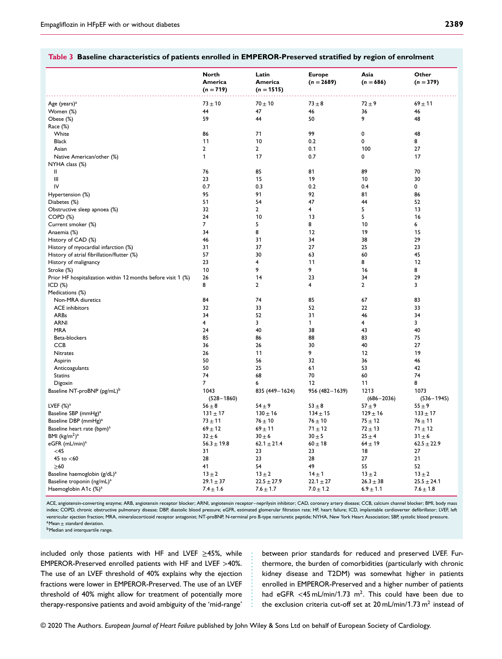| Ξ      | ×      |
|--------|--------|
| I      | ۰.     |
| $\sim$ | $\sim$ |
|        |        |
|        |        |

#### **Table 3 Baseline characteristics of patients enrolled in EMPEROR-Preserved stratified by region of enrolment**

|                                                              | <b>North</b>    | Latin           | <b>Europe</b>  | Asia           | Other           |
|--------------------------------------------------------------|-----------------|-----------------|----------------|----------------|-----------------|
|                                                              | America         | America         | $(n = 2689)$   | $(n = 686)$    | $(n = 379)$     |
|                                                              | $(n = 719)$     | $(n = 1515)$    |                |                |                 |
|                                                              |                 |                 |                |                |                 |
| Age (years) <sup>a</sup>                                     | $73 + 10$       | $70 + 10$       | $73 \pm 8$     | $72 + 9$       | $69 + 11$       |
| Women (%)                                                    | 44              | 47              | 46             | 36             | 46              |
| Obese (%)                                                    | 59              | 44              | 50             | 9              | 48              |
| Race (%)                                                     |                 |                 |                |                |                 |
| White                                                        | 86              | 71              | 99             | 0              | 48              |
| <b>Black</b>                                                 | 11              | 10              | 0.2            | 0              | 8               |
| Asian                                                        | $\overline{2}$  | $\mathbf{2}$    | 0.1            | 100            | 27              |
| Native American/other (%)                                    | $\mathbf{1}$    | 17              | 0.7            | 0              | 17              |
| NYHA class (%)                                               |                 |                 |                |                |                 |
| Ш                                                            | 76              | 85              | 81             | 89             | 70              |
| Ш                                                            | 23              | 15              | 19             | 10             | 30              |
| IV                                                           | 0.7             | 0.3             | 0.2            | 0.4            | 0               |
| Hypertension (%)                                             | 95              | 91              | 92             | 81             | 86              |
| Diabetes (%)                                                 | 51              | 54              | 47             | 44             | 52              |
| Obstructive sleep apnoea (%)                                 | 32              | $\mathbf{2}$    | 4              | 5              | 13              |
| $COPD (\%)$                                                  | 24              | 10              | 13             | 5              | 16              |
| Current smoker (%)                                           | $\overline{7}$  | 5               | 8              | 10             | 6               |
| Anaemia (%)                                                  | 34              | 8               | 12             | 19             | 15              |
| History of CAD (%)                                           | 46              | 31              | 34             | 38             | 29              |
| History of myocardial infarction (%)                         | 31              | 37              | 27             | 25             | 23              |
| History of atrial fibrillation/flutter (%)                   | 57              | 30              | 63             | 60             | 45              |
| History of malignancy                                        | 23              | $\overline{4}$  | 11             | 8              | 12              |
| Stroke (%)                                                   | 10              | 9               | 9              | 16             | 8               |
| Prior HF hospitalization within 12 months before visit 1 (%) | 26              | 14              | 23             | 34             | 29              |
| ICD $(%)$                                                    | 8               | $\mathbf{2}$    | 4              | $\mathbf{2}$   | 3               |
| Medications (%)                                              |                 |                 |                |                |                 |
| Non-MRA diuretics                                            | 84              | 74              | 85             | 67             | 83              |
| <b>ACE</b> inhibitors                                        | 32              | 33              | 52             | 22             | 33              |
| <b>ARBs</b>                                                  | 34              | 52              | 31             | 46             | 34              |
| <b>ARNI</b>                                                  | 4               | 3               | 1              | 4              | 3               |
| <b>MRA</b>                                                   | 24              | 40              | 38             | 43             | 40              |
| Beta-blockers                                                | 85              | 86              | 88             | 83             | 75              |
| <b>CCB</b>                                                   | 36              | 26              | 30             | 40             | 27              |
| Nitrates                                                     | 26              | 11              | 9              | 12             | 19              |
| Aspirin                                                      | 50              | 56              | 32             | 36             | 46              |
| Anticoagulants                                               | 50              | 25              | 61             | 53             | 42              |
| <b>Statins</b>                                               | 74              | 68              | 70             | 60             | 74              |
| Digoxin                                                      | $\overline{7}$  | 6               | 12             | 11             | 8               |
| Baseline NT-proBNP (pg/mL) <sup>b</sup>                      | 1043            | 835 (449-1624)  | 956 (482-1639) | 1213           | 1073            |
|                                                              | $(528 - 1860)$  |                 |                | $(686 - 2036)$ | $(536 - 1945)$  |
| LVEF $(\%)^a$                                                | $56 \pm 8$      | $54 \pm 9$      | $53 \pm 8$     | $57 + 9$       | $55 \pm 9$      |
| Baseline SBP (mmHg) <sup>a</sup>                             | $131 \pm 17$    | $130 \pm 16$    | $134 \pm 15$   | $129 \pm 16$   | $133 \pm 17$    |
| Baseline DBP (mmHg) <sup>a</sup>                             | $73 \pm 11$     | $76 + 10$       | $76 \pm 10$    | $75 + 12$      | $76 + 11$       |
| Baseline heart rate (bpm) <sup>a</sup>                       | $69 + 12$       | $69 + 11$       | $71 \pm 12$    | $72 \pm 13$    | $71 \pm 12$     |
| BMI $(kg/m2)a$                                               | $32 \pm 6$      | $30 \pm 6$      | $30 \pm 5$     | $25 \pm 4$     | $31 \pm 6$      |
| eGFR (mL/min) <sup>a</sup>                                   | $56.3 \pm 19.8$ | $62.1 \pm 21.4$ | $60 \pm 18$    | $64 \pm 19$    | $62.5 \pm 22.9$ |
| $<$ 45                                                       | 31              | 23              | 23             | 18             | 27              |
| 45 to $<$ 60                                                 | 28              | 23              | 28             | 27             | 21              |
| $\geq 60$                                                    | 41              | 54              | 49             | 55             | 52              |
| Baseline haemoglobin (g/dL) <sup>a</sup>                     | $13 \pm 2$      | $13 \pm 2$      | $14 \pm 1$     | $13 \pm 2$     | $13 \pm 2$      |
| Baseline troponin (ng/mL) <sup>a</sup>                       | $29.1 \pm 37$   | $22.5 \pm 27.9$ | $22.1 \pm 27$  | $26.3 \pm 38$  | $25.5 \pm 24.1$ |
|                                                              |                 |                 |                |                |                 |
| Haemoglobin A1c (%) <sup>a</sup>                             | $7.4 \pm 1.6$   | $7.6 \pm 1.7$   | $7.0 \pm 1.2$  | $6.9 \pm 1.1$  | $7.6 \pm 1.8$   |

ACE, angiotensin-converting enzyme; ARB, angiotensin receptor blocker; ARNI, angiotensin receptor–neprilysin inhibitor; CAD, coronary artery disease; CCB, calcium channel blocker; BMI, body mass index; COPD, chronic obstructive pulmonary disease; DBP, diastolic blood pressure; eGFR, estimated glomerular filtration rate; HF, heart failure; ICD, implantable cardioverter defibrillator; LVEF, left ventricular ejection fraction; MRA, mineralocorticoid receptor antagonist; NT-proBNP, N-terminal pro B-type natriuretic peptide; NYHA, New York Heart Association; SBP, systolic blood pressure. a Mean + standard deviation.

.................

**b**Median and interquartile range.

included only those patients with HF and LVEF ≥45%, while EMPEROR-Preserved enrolled patients with HF and LVEF *>*40%. The use of an LVEF threshold of 40% explains why the ejection fractions were lower in EMPEROR-Preserved. The use of an LVEF threshold of 40% might allow for treatment of potentially more therapy-responsive patients and avoid ambiguity of the 'mid-range'

between prior standards for reduced and preserved LVEF. Furthermore, the burden of comorbidities (particularly with chronic kidney disease and T2DM) was somewhat higher in patients enrolled in EMPEROR-Preserved and a higher number of patients had eGFR <45 mL/min/1.73 m<sup>2</sup>. This could have been due to the exclusion criteria cut-off set at  $20 \text{ mL/min}/1.73 \text{ m}^2$  instead of

© 2020 The Authors. *European Journal of Heart Failure* published by John Wiley & Sons Ltd on behalf of European Society of Cardiology.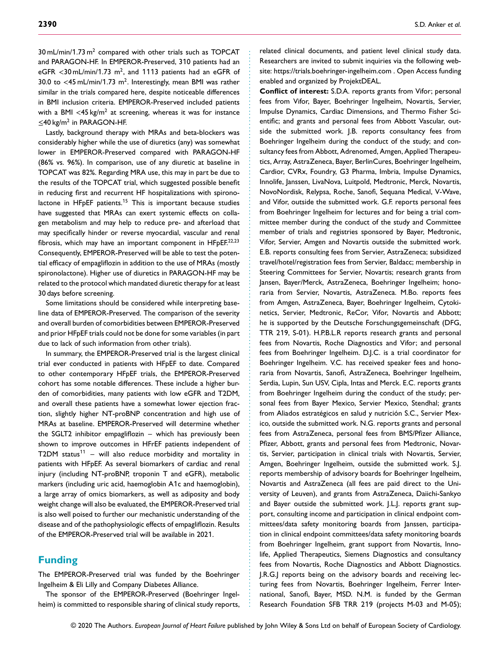$30 \text{ mL/min}/1.73 \text{ m}^2$  compared with other trials such as TOPCAT and PARAGON-HF. In EMPEROR-Preserved, 310 patients had an eGFR *<*30 mL/min/1.73 m2, and 1113 patients had an eGFR of 30.0 to *<*45 mL/min/1.73 m2. Interestingly, mean BMI was rather similar in the trials compared here, despite noticeable differences in BMI inclusion criteria. EMPEROR-Preserved included patients with a BMI <45 kg/m<sup>2</sup> at screening, whereas it was for instance  $\leq$ 40 kg/m<sup>2</sup> in PARAGON-HF.

Lastly, background therapy with MRAs and beta-blockers was considerably higher while the use of diuretics (any) was somewhat lower in EMPEROR-Preserved compared with PARAGON-HF (86% vs. 96%). In comparison, use of any diuretic at baseline in TOPCAT was 82%. Regarding MRA use, this may in part be due to the results of the TOPCAT trial, which suggested possible benefit in reducing first and recurrent HF hospitalizations with spironolactone in HFpEF patients.<sup>15</sup> This is important because studies have suggested that MRAs can exert systemic effects on collagen metabolism and may help to reduce pre- and afterload that may specifically hinder or reverse myocardial, vascular and renal fibrosis, which may have an important component in HFpEF.<sup>22,23</sup> Consequently, EMPEROR-Preserved will be able to test the potential efficacy of empagliflozin in addition to the use of MRAs (mostly spironolactone). Higher use of diuretics in PARAGON-HF may be related to the protocol which mandated diuretic therapy for at least 30 days before screening.

Some limitations should be considered while interpreting baseline data of EMPEROR-Preserved. The comparison of the severity and overall burden of comorbidities between EMPEROR-Preserved and prior HFpEF trials could not be done for some variables (in part due to lack of such information from other trials).

In summary, the EMPEROR-Preserved trial is the largest clinical trial ever conducted in patients with HFpEF to date. Compared to other contemporary HFpEF trials, the EMPEROR-Preserved cohort has some notable differences. These include a higher burden of comorbidities, many patients with low eGFR and T2DM, and overall these patients have a somewhat lower ejection fraction, slightly higher NT-proBNP concentration and high use of MRAs at baseline. EMPEROR-Preserved will determine whether the SGLT2 inhibitor empagliflozin – which has previously been shown to improve outcomes in HFrEF patients independent of T2DM status<sup>11</sup> – will also reduce morbidity and mortality in patients with HFpEF. As several biomarkers of cardiac and renal injury (including NT-proBNP, troponin T and eGFR), metabolic markers (including uric acid, haemoglobin A1c and haemoglobin), a large array of omics biomarkers, as well as adiposity and body weight change will also be evaluated, the EMPEROR-Preserved trial is also well poised to further our mechanistic understanding of the disease and of the pathophysiologic effects of empagliflozin. Results of the EMPEROR-Preserved trial will be available in 2021.

#### **Funding**

The EMPEROR-Preserved trial was funded by the Boehringer Ingelheim & Eli Lilly and Company Diabetes Alliance.

The sponsor of the EMPEROR-Preserved (Boehringer Ingelheim) is committed to responsible sharing of clinical study reports, related clinical documents, and patient level clinical study data. Researchers are invited to submit inquiries via the following website:<https://trials.boehringer-ingelheim.com> . Open Access funding enabled and organized by ProjektDEAL.

**Conflict of interest:** S.D.A. reports grants from Vifor; personal fees from Vifor, Bayer, Boehringer Ingelheim, Novartis, Servier, Impulse Dynamics, Cardiac Dimensions, and Thermo Fisher Scientific; and grants and personal fees from Abbott Vascular, outside the submitted work. J.B. reports consultancy fees from Boehringer Ingelheim during the conduct of the study; and consultancy fees from Abbott, Adrenomed, Amgen, Applied Therapeutics, Array, AstraZeneca, Bayer, BerlinCures, Boehringer Ingelheim, Cardior, CVRx, Foundry, G3 Pharma, Imbria, Impulse Dynamics, Innolife, Janssen, LivaNova, Luitpold, Medtronic, Merck, Novartis, NovoNordisk, Relypsa, Roche, Sanofi, Sequana Medical, V-Wave, and Vifor, outside the submitted work. G.F. reports personal fees from Boehringer Ingelheim for lectures and for being a trial committee member during the conduct of the study and Committee member of trials and registries sponsored by Bayer, Medtronic, Vifor, Servier, Amgen and Novartis outside the submitted work. E.B. reports consulting fees from Servier, AstraZeneca; subsidized travel/hotel/registration fees from Servier, Baldacc; membership in Steering Committees for Servier, Novartis; research grants from Jansen, Bayer/Merck, AstraZeneca, Boehringer Ingelheim; honoraria from Servier, Novartis, AstraZeneca. M.Bo. reports fees from Amgen, AstraZeneca, Bayer, Boehringer Ingelheim, Cytokinetics, Servier, Medtronic, ReCor, Vifor, Novartis and Abbott; he is supported by the Deutsche Forschungsgemeinschaft (DFG, TTR 219, S-01). H.P.B.L.R reports research grants and personal fees from Novartis, Roche Diagnostics and Vifor; and personal fees from Boehringer Ingelheim. D.J.C. is a trial coordinator for Boehringer Ingelheim. V.C. has received speaker fees and honoraria from Novartis, Sanofi, AstraZeneca, Boehringer Ingelheim, Serdia, Lupin, Sun USV, Cipla, Intas and Merck. E.C. reports grants from Boehringer Ingelheim during the conduct of the study; personal fees from Bayer Mexico, Servier Mexico, Stendhal; grants from Aliados estratégicos en salud y nutrición S.C., Servier Mexico, outside the submitted work. N.G. reports grants and personal fees from AstraZeneca, personal fees from BMS/Pfizer Alliance, Pfizer, Abbott, grants and personal fees from Medtronic, Novartis, Servier, participation in clinical trials with Novartis, Servier, Amgen, Boehringer Ingelheim, outside the submitted work. S.J. reports membership of advisory boards for Boehringer Ingelheim, Novartis and AstraZeneca (all fees are paid direct to the University of Leuven), and grants from AstraZeneca, Daiichi-Sankyo and Bayer outside the submitted work. J.L.J. reports grant support, consulting income and participation in clinical endpoint committees/data safety monitoring boards from Janssen, participation in clinical endpoint committees/data safety monitoring boards from Boehringer Ingelheim, grant support from Novartis, Innolife, Applied Therapeutics, Siemens Diagnostics and consultancy fees from Novartis, Roche Diagnostics and Abbott Diagnostics. J.R.G.J reports being on the advisory boards and receiving lecturing fees from Novartis, Boehringer Ingelheim, Ferrer International, Sanofi, Bayer, MSD. N.M. is funded by the German Research Foundation SFB TRR 219 (projects M-03 and M-05);

................................................................ ............................................................... .........................................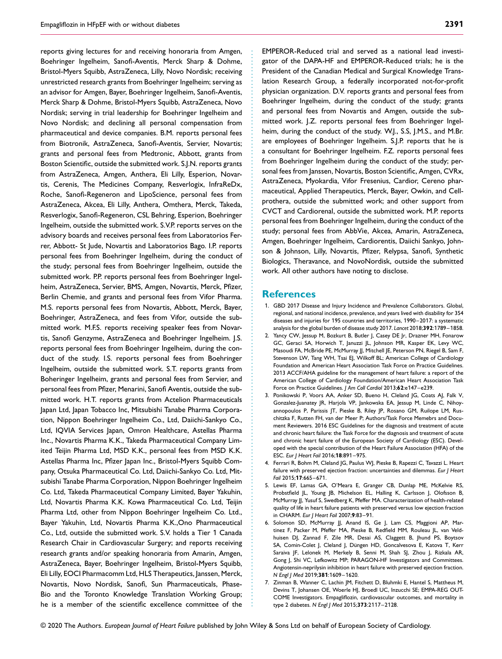reports giving lectures for and receiving honoraria from Amgen, Boehringer Ingelheim, Sanofi-Aventis, Merck Sharp & Dohme, Bristol-Myers Squibb, AstraZeneca, Lilly, Novo Nordisk; receiving unrestricted research grants from Boehringer Ingelheim; serving as an advisor for Amgen, Bayer, Boehringer Ingelheim, Sanofi-Aventis, Merck Sharp & Dohme, Bristol-Myers Squibb, AstraZeneca, Novo Nordisk; serving in trial leadership for Boehringer Ingelheim and Novo Nordisk; and declining all personal compensation from pharmaceutical and device companies. B.M. reports personal fees from Biotronik, AstraZeneca, Sanofi-Aventis, Servier, Novartis; grants and personal fees from Medtronic, Abbott, grants from Boston Scientific, outside the submitted work. S.J.N. reports grants from AstraZeneca, Amgen, Anthera, Eli Lilly, Esperion, Novartis, Cerenis, The Medicines Company, Resverlogix, InfraReDx, Roche, Sanofi-Regeneron and LipoScience, personal fees from AstraZeneca, Akcea, Eli Lilly, Anthera, Omthera, Merck, Takeda, Resverlogix, Sanofi-Regeneron, CSL Behring, Esperion, Boehringer Ingelheim, outside the submitted work. S.V.P. reports serves on the advisory boards and receives personal fees from Laboratorios Ferrer, Abbott- St Jude, Novartis and Laboratorios Bago. I.P. reports personal fees from Boehringer Ingelheim, during the conduct of the study; personal fees from Boehringer Ingelheim, outside the submitted work. P.P. reports personal fees from Boehringer Ingelheim, AstraZeneca, Servier, BMS, Amgen, Novartis, Merck, Pfizer, Berlin Chemie, and grants and personal fees from Vifor Pharma. M.S. reports personal fees from Novartis, Abbott, Merck, Bayer, Boehringer, AstraZeneca, and fees from Vifor, outside the submitted work. M.F.S. reports receiving speaker fees from Novartis, Sanofi Genzyme, AstraZeneca and Boehringer Ingelheim. J.S. reports personal fees from Boehringer Ingelheim, during the conduct of the study. I.S. reports personal fees from Boehringer Ingelheim, outside the submitted work. S.T. reports grants from Boheringer Ingelheim, grants and personal fees from Servier, and personal fees from Pfizer, Menarini, Sanofi Aventis, outside the submitted work. H.T. reports grants from Actelion Pharmaceuticals Japan Ltd, Japan Tobacco Inc, Mitsubishi Tanabe Pharma Corporation, Nippon Boehringer Ingelheim Co., Ltd, Daiichi-Sankyo Co., Ltd, IQVIA Services Japan, Omron Healthcare, Astellas Pharma Inc., Novartis Pharma K.K., Takeda Pharmaceutical Company Limited Teijin Pharma Ltd, MSD K.K., personal fees from MSD K.K. Astellas Pharma Inc, Pfizer Japan Inc., Bristol-Myers Squibb Company, Otsuka Pharmaceutical Co. Ltd, Daiichi-Sankyo Co. Ltd, Mitsubishi Tanabe Pharma Corporation, Nippon Boehringer Ingelheim Co. Ltd, Takeda Pharmaceutical Company Limited, Bayer Yakuhin, Ltd, Novartis Pharma K.K. Kowa Pharmaceutical Co. Ltd, Teijin Pharma Ltd, other from Nippon Boehringer Ingelheim Co. Ltd., Bayer Yakuhin, Ltd, Novartis Pharma K.K.,Ono Pharmaceutical Co., Ltd, outside the submitted work. S.V. holds a Tier 1 Canada Research Chair in Cardiovascular Surgery; and reports receiving research grants and/or speaking honoraria from Amarin, Amgen, AstraZeneca, Bayer, Boehringer Ingelheim, Bristol-Myers Squibb, Eli Lilly, EOCI Pharmacomm Ltd, HLS Therapeutics, Janssen, Merck, Novartis, Novo Nordisk, Sanofi, Sun Pharmaceuticals, Phase-Bio and the Toronto Knowledge Translation Working Group; he is a member of the scientific excellence committee of the

EMPEROR-Reduced trial and served as a national lead investigator of the DAPA-HF and EMPEROR-Reduced trials; he is the President of the Canadian Medical and Surgical Knowledge Translation Research Group, a federally incorporated not-for-profit physician organization. D.V. reports grants and personal fees from Boehringer Ingelheim, during the conduct of the study; grants and personal fees from Novartis and Amgen, outside the submitted work. J.Z. reports personal fees from Boehringer Ingelheim, during the conduct of the study. W.J., S.S, J.M.S., and M.Br. are employees of Boehringer Ingelheim. S.J.P. reports that he is a consultant for Boehringer Ingelheim. F.Z. reports personal fees from Boehringer Ingelheim during the conduct of the study; personal fees from Janssen, Novartis, Boston Scientific, Amgen, CVRx, AstraZeneca, Myokardia, Vifor Fresenius, Cardior, Cereno pharmaceutical, Applied Therapeutics, Merck, Bayer, Owkin, and Cellprothera, outside the submitted work; and other support from CVCT and Cardiorenal, outside the submitted work. M.P. reports personal fees from Boehringer Ingelheim, during the conduct of the study; personal fees from AbbVie, Akcea, Amarin, AstraZeneca, Amgen, Boehringer Ingelheim, Cardiorentis, Daiichi Sankyo, Johnson & Johnson, Lilly, Novartis, Pfizer, Relypsa, Sanofi, Synthetic Biologics, Theravance, and NovoNordisk, outside the submitted work. All other authors have noting to disclose.

#### **References**

................................................................ ............................................................... .........................................

- 1. GBD 2017 Disease and Injury Incidence and Prevalence Collaborators. Global, regional, and national incidence, prevalence, and years lived with disability for 354 diseases and injuries for 195 countries and territories, 1990–2017: a systematic analysis for the global burden of disease study 2017. *Lancet* 2018;**392**:1789–1858.
- 2. Yancy CW, Jessup M, Bozkurt B, Butler J, Casey DE Jr, Drazner MH, Fonarow GC, Geraci SA, Horwich T, Januzzi JL, Johnson MR, Kasper EK, Levy WC, Masoudi FA, McBride PE, McMurray JJ, Mitchell JE, Peterson PN, Riegel B, Sam F, Stevenson LW, Tang WH, Tsai EJ, Wilkoff BL; American College of Cardiology Foundation and American Heart Association Task Force on Practice Guidelines. 2013 ACCF/AHA guideline for the management of heart failure: a report of the American College of Cardiology Foundation/American Heart Association Task Force on Practice Guidelines. *J Am Coll Cardiol* 2013;**62**:e147–e239.
- 3. Ponikowski P, Voors AA, Anker SD, Bueno H, Cleland JG, Coats AJ, Falk V, Gonzalez-Juanatey JR, Harjola VP, Jankowska EA, Jessup M, Linde C, Nihoyannopoulos P, Parissis JT, Pieske B, Riley JP, Rosano GM, Ruilope LM, Ruschitzka F, Rutten FH, van der Meer P; Authors/Task Force Memebrs and Document Reviewers. 2016 ESC Guidelines for the diagnosis and treatment of acute and chronic heart failure: the Task Force for the diagnosis and treatment of acute and chronic heart failure of the European Society of Cardiology (ESC). Developed with the special contribution of the Heart Failure Association (HFA) of the ESC. *Eur J Heart Fail* 2016;**18**:891–975.
- 4. Ferrari R, Bohm M, Cleland JG, Paulus WJ, Pieske B, Rapezzi C, Tavazzi L. Heart failure with preserved ejection fraction: uncertainties and dilemmas. *Eur J Heart Fail* 2015;**17**:665–671.
- 5. Lewis EF, Lamas GA, O'Meara E, Granger CB, Dunlap ME, McKelvie RS, Probstfield JL, Young JB, Michelson EL, Halling K, Carlsson J, Olofsson B, McMurray JJ, Yusuf S, Swedberg K, Pfeffer MA. Characterization of health-related quality of life in heart failure patients with preserved versus low ejection fraction in CHARM. *Eur J Heart Fail* 2007;**9**:83–91.
- 6. Solomon SD, McMurray JJ, Anand IS, Ge J, Lam CS, Maggioni AP, Martinez F, Packer M, Pfeffer MA, Pieske B, Redfield MM, Rouleau JL, van Veldhuisen DJ, Zannad F, Zile MR, Desai AS, Claggett B, Jhund PS, Boytsov SA, Comin-Colet J, Cleland J, Düngen HD, Goncalvesova E, Katova T, Kerr Saraiva JF, Lelonek M, Merkely B, Senni M, Shah SJ, Zhou J, Rizkala AR, Gong J, Shi VC, Lefkowitz MP; PARAGON-HF Investigators and Committees. Angiotensin-neprilysin inhibition in heart failure with preserved ejection fraction. *N Engl J Med* 2019;**381**:1609–1620.
- 7. Zinman B, Wanner C, Lachin JM, Fitchett D, Bluhmki E, Hantel S, Mattheus M, Devins T, Johansen OE, Woerle HJ, Broedl UC, Inzucchi SE; EMPA-REG OUT-COME Investigators. Empagliflozin, cardiovascular outcomes, and mortality in type 2 diabetes. *N Engl J Med* 2015;**373**:2117–2128.